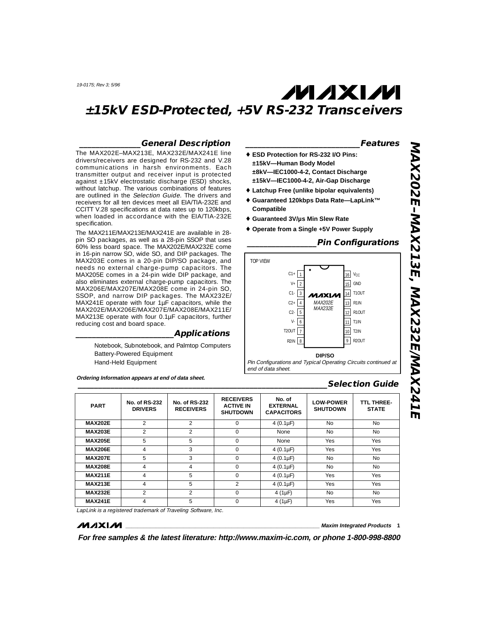#### **\_\_\_\_\_\_\_\_\_\_\_\_\_\_\_General Description**

The MAX202E–MAX213E, MAX232E/MAX241E line drivers/receivers are designed for RS-232 and V.28 communications in harsh environments. Each transmitter output and receiver input is protected against ±15kV electrostatic discharge (ESD) shocks, without latchup. The various combinations of features are outlined in the Selection Guide. The drivers and receivers for all ten devices meet all EIA/TIA-232E and CCITT V.28 specifications at data rates up to 120kbps, when loaded in accordance with the EIA/TIA-232E specification.

The MAX211E/MAX213E/MAX241E are available in 28 pin SO packages, as well as a 28-pin SSOP that uses 60% less board space. The MAX202E/MAX232E come in 16-pin narrow SO, wide SO, and DIP packages. The MAX203E comes in a 20-pin DIP/SO package, and needs no external charge-pump capacitors. The MAX205E comes in a 24-pin wide DIP package, and also eliminates external charge-pump capacitors. The MAX206E/MAX207E/MAX208E come in 24-pin SO, SSOP, and narrow DIP packages. The MAX232E/ MAX241E operate with four 1µF capacitors, while the MAX202E/MAX206E/MAX207E/MAX208E/MAX211E/ MAX213E operate with four 0.1µF capacitors, further reducing cost and board space.

#### **\_\_\_\_\_\_\_\_\_\_\_\_\_\_\_\_\_\_\_\_\_\_\_\_Applications**

Notebook, Subnotebook, and Palmtop Computers Battery-Powered Equipment Hand-Held Equipment

**Ordering Information appears at end of data sheet.**

- ♦ **ESD Protection for RS-232 I/O Pins: ±15kV—Human Body Model ±8kV—IEC1000-4-2, Contact Discharge ±15kV—IEC1000-4-2, Air-Gap Discharge**
- ♦ **Latchup Free (unlike bipolar equivalents)**
- ♦ **Guaranteed 120kbps Data Rate—LapLink™ Compatible**
- ♦ **Guaranteed 3V/µs Min Slew Rate**
- ♦ **Operate from a Single +5V Power Supply**

#### **\_\_\_\_\_\_\_\_\_\_\_\_\_\_\_\_\_Pin Configurations**

**\_\_\_\_\_\_\_\_\_\_\_\_\_\_\_\_\_\_\_\_\_\_\_\_\_\_\_\_Features**



#### **\_\_\_\_\_\_\_\_\_\_\_\_\_\_\_\_\_\_\_\_\_\_\_\_\_\_\_\_\_\_\_\_\_\_\_\_\_\_\_\_\_\_\_\_\_\_\_\_\_\_\_\_\_\_\_\_\_\_\_\_\_Selection Guide**

| <b>PART</b>    | <b>No. of RS-232</b><br><b>DRIVERS</b> | <b>No. of RS-232</b><br><b>RECEIVERS</b> | <b>RECEIVERS</b><br><b>ACTIVE IN</b><br><b>SHUTDOWN</b> | No. of<br><b>EXTERNAL</b><br><b>CAPACITORS</b> | <b>LOW-POWER</b><br><b>SHUTDOWN</b> | <b>TTL THREE-</b><br><b>STATE</b> |
|----------------|----------------------------------------|------------------------------------------|---------------------------------------------------------|------------------------------------------------|-------------------------------------|-----------------------------------|
| <b>MAX202E</b> | $\mathfrak{D}$                         | $\mathfrak{D}$                           | $\Omega$                                                | 4 $(0.1 \mu F)$                                | <b>No</b>                           | <b>No</b>                         |
| <b>MAX203E</b> | $\overline{2}$                         | 2                                        | $\Omega$                                                | None                                           | <b>No</b>                           | <b>No</b>                         |
| <b>MAX205E</b> | 5                                      | 5.                                       | $\Omega$                                                | None                                           | Yes                                 | Yes                               |
| <b>MAX206E</b> | 4                                      | 3                                        | $\Omega$                                                | 4 $(0.1 \mu F)$                                | Yes                                 | Yes                               |
| <b>MAX207E</b> | 5                                      | 3                                        | $\Omega$                                                | 4 $(0.1 \mu F)$                                | <b>No</b>                           | <b>No</b>                         |
| <b>MAX208E</b> | 4                                      | 4                                        | $\Omega$                                                | 4 $(0.1 \mu F)$                                | <b>No</b>                           | <b>No</b>                         |
| <b>MAX211E</b> | 4                                      | 5                                        | $\Omega$                                                | 4 $(0.1 \mu F)$                                | Yes                                 | Yes                               |
| <b>MAX213E</b> | 4                                      | 5                                        | $\mathfrak{D}$                                          | 4 $(0.1 \mu F)$                                | <b>Yes</b>                          | <b>Yes</b>                        |
| <b>MAX232E</b> | $\mathfrak{D}$                         | 2                                        | $\Omega$                                                | 4 ( $1 \mu$ F)                                 | <b>No</b>                           | <b>No</b>                         |
| <b>MAX241E</b> | 4                                      | 5                                        | $\Omega$                                                | 4 ( $1 \mu$ F)                                 | Yes                                 | Yes                               |

LapLink is a registered trademark of Traveling Software, Inc.

#### **MAXM**

**\_\_\_\_\_\_\_\_\_\_\_\_\_\_\_\_\_\_\_\_\_\_\_\_\_\_\_\_\_\_\_\_\_\_\_\_\_\_\_\_\_\_\_\_\_\_\_\_\_\_\_\_\_\_\_\_\_\_\_\_\_\_\_\_ Maxim Integrated Products 1**

**For free samples & the latest literature: http://www.maxim-ic.com, or phone 1-800-998-8800**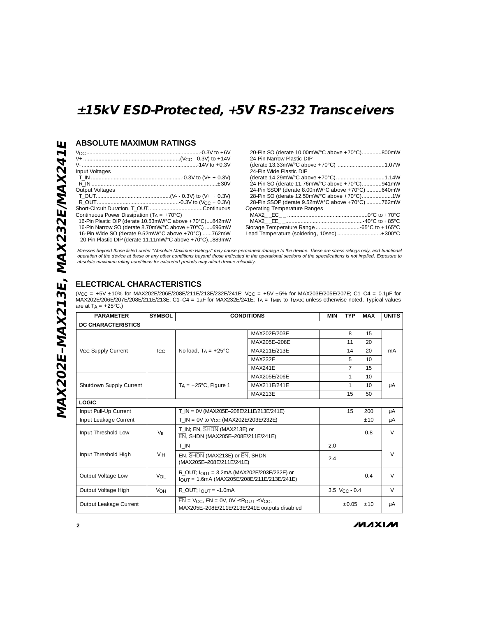### **ABSOLUTE MAXIMUM RATINGS**

| Input Voltages                                          |  |
|---------------------------------------------------------|--|
|                                                         |  |
|                                                         |  |
| Output Voltages                                         |  |
|                                                         |  |
|                                                         |  |
|                                                         |  |
| Continuous Power Dissipation $(T_A = +70^{\circ}C)$     |  |
| 16-Pin Plastic DIP (derate 10.53mW/°C above +70°C)842mW |  |
| 16-Pin Narrow SO (derate 8.70mW/°C above +70°C) 696mW   |  |
| 16-Pin Wide SO (derate 9.52mW/°C above +70°C) 762mW     |  |
| 20-Pin Plastic DIP (derate 11.11mW/°C above +70°C)889mW |  |
|                                                         |  |

| 20-Pin SO (derate 10.00mW/°C above +70°C)800mW   |
|--------------------------------------------------|
| 24-Pin Narrow Plastic DIP                        |
|                                                  |
| 24-Pin Wide Plastic DIP                          |
|                                                  |
| 24-Pin SO (derate 11.76mW/°C above +70°C)941mW   |
| 24-Pin SSOP (derate 8.00mW/°C above +70°C) 640mW |
| 28-Pin SO (derate 12.50mW/°C above +70°C)1W      |
| 28-Pin SSOP (derate 9.52mW/°C above +70°C) 762mW |
| <b>Operating Temperature Ranges</b>              |
|                                                  |
|                                                  |
|                                                  |
| Lead Temperature (soldering, 10sec)  +300°C      |

Stresses beyond those listed under "Absolute Maximum Ratings" may cause permanent damage to the device. These are stress ratings only, and functional<br>operation of the device at these or any other conditions beyond those in

### **ELECTRICAL CHARACTERISTICS**

(VCC = +5V ±10% for MAX202E/206E/208E/211E/213E/232E/241E; VCC = +5V ±5% for MAX203E/205E/207E; C1–C4 = 0.1µF for MAX202E/206E/207E/208E/211E/213E; C1–C4 = 1µF for MAX232E/241E; TA = TMIN to TMAX; unless otherwise noted. Typical values are at  $T_A = +25^{\circ}C$ .)

| <b>PARAMETER</b>               | <b>SYMBOL</b>   | <b>CONDITIONS</b>                                                                                      |                                              | <b>MIN</b> | <b>TYP</b>                  | <b>MAX</b>      | <b>UNITS</b> |
|--------------------------------|-----------------|--------------------------------------------------------------------------------------------------------|----------------------------------------------|------------|-----------------------------|-----------------|--------------|
| <b>DC CHARACTERISTICS</b>      |                 |                                                                                                        |                                              |            |                             |                 |              |
|                                |                 |                                                                                                        | MAX202E/203E                                 |            | 8                           | 15              |              |
|                                |                 |                                                                                                        | MAX205F-208F                                 |            | 11                          | 20              |              |
| V <sub>CC</sub> Supply Current | Icc.            | No load. $Ta = +25^{\circ}C$                                                                           | MAX211F/213F                                 |            | 14                          | 20              | mA           |
|                                |                 |                                                                                                        | MAX232F                                      |            | 5                           | 10 <sup>1</sup> |              |
|                                |                 |                                                                                                        | MAX241F                                      |            | $\overline{7}$              | 15              |              |
|                                |                 |                                                                                                        | MAX205F/206F                                 |            | 1                           | 10 <sup>2</sup> |              |
| Shutdown Supply Current        |                 | $T_A = +25^{\circ}$ C, Figure 1                                                                        | MAX211F/241F                                 |            | 1                           | 10 <sup>2</sup> | μA           |
|                                |                 |                                                                                                        | MAX213F                                      |            | 15                          | 50              |              |
| <b>LOGIC</b>                   |                 |                                                                                                        |                                              |            |                             |                 |              |
| Input Pull-Up Current          |                 | T IN = 0V (MAX205E-208E/211E/213E/241E)                                                                |                                              |            | 15                          | 200             | μA           |
| Input Leakage Current          |                 | T IN = 0V to Vcc (MAX202E/203E/232E)                                                                   |                                              |            |                             | $+10$           | μA           |
| Input Threshold Low            | $V_{\parallel}$ | T_IN; EN, SHDN (MAX213E) or<br>EN, SHDN (MAX205E-208E/211E/241E)                                       |                                              |            |                             | 0.8             | $\vee$       |
|                                |                 | $T$ _IN                                                                                                |                                              | 2.0        |                             |                 |              |
| Input Threshold High           | V <sub>IH</sub> | EN, SHON (MAX213E) or EN, SHDN<br>(MAX205E-208E/211E/241E)                                             |                                              | 2.4        |                             |                 | $\vee$       |
| Output Voltage Low             | Vol             | R OUT; $I$ <sub>OUT</sub> = 3.2mA (MAX202E/203E/232E) or<br>lout = 1.6mA (MAX205E/208E/211E/213E/241E) |                                              |            |                             | 0.4             | $\vee$       |
| Output Voltage High            | <b>VOH</b>      | R OUT; $I_{\text{OUT}} = -1.0 \text{mA}$                                                               |                                              |            | $3.5$ V <sub>CC</sub> - 0.4 |                 | V            |
| Output Leakage Current         |                 | $\overline{EN}$ = VCC, $EN = OV$ , $OV \leq R_{OUT} \leq V_{CC}$                                       | MAX205E-208E/211E/213E/241E outputs disabled |            | $+0.05$                     | ±10             | μA           |

 $MMXM$ 

**2 \_\_\_\_\_\_\_\_\_\_\_\_\_\_\_\_\_\_\_\_\_\_\_\_\_\_\_\_\_\_\_\_\_\_\_\_\_\_\_\_\_\_\_\_\_\_\_\_\_\_\_\_\_\_\_\_\_\_\_\_\_\_\_\_\_\_\_\_\_\_\_\_\_\_\_\_\_\_\_\_\_\_\_\_\_\_\_**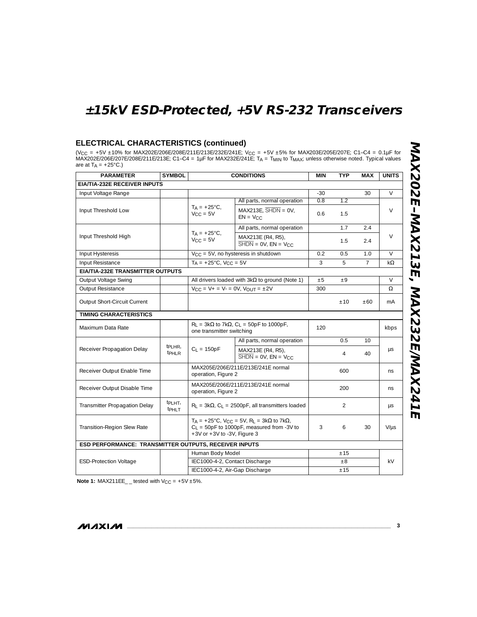#### **ELECTRICAL CHARACTERISTICS (continued)**

(VCC = +5V ±10% for MAX202E/206E/208E/211E/213E/232E/241E; VCC = +5V ±5% for MAX203E/205E/207E; C1–C4 = 0.1µF for MAX202E/206E/207E/208E/211E/213E; C1–C4 = 1µF for MAX232E/241E; TA = TMIN to TMAX; unless otherwise noted. Typical values are at  $T_A = +25^{\circ}C$ .)

| <b>PARAMETER</b>                                      | <b>SYMBOL</b>                             |                                                     | <b>CONDITIONS</b>                                                                                                       | <b>MIN</b> | <b>TYP</b> | MAX             | <b>UNITS</b>   |
|-------------------------------------------------------|-------------------------------------------|-----------------------------------------------------|-------------------------------------------------------------------------------------------------------------------------|------------|------------|-----------------|----------------|
| EIA/TIA-232E RECEIVER INPUTS                          |                                           |                                                     |                                                                                                                         |            |            |                 |                |
| Input Voltage Range                                   |                                           |                                                     |                                                                                                                         | $-30$      |            | 30              | $\vee$         |
|                                                       |                                           |                                                     | All parts, normal operation                                                                                             | 0.8        | 1.2        |                 |                |
| Input Threshold Low                                   |                                           | $T_A = +25^{\circ}C,$<br>$V_{CC} = 5V$              | $MAX213E$ , $\overline{SHDN} = 0V$ ,<br>$EN = V_{CC}$                                                                   | 0.6        | 1.5        |                 | V              |
|                                                       |                                           |                                                     | All parts, normal operation                                                                                             |            | 1.7        | 2.4             |                |
| Input Threshold High                                  |                                           | $TA = +25^{\circ}C$ ,<br>$V_{CC} = 5V$              | MAX213E (R4, R5),<br>$\overline{\text{SHDN}} = \text{OV}$ , $\text{EN} = \text{VCC}$                                    |            | 1.5        | 2.4             | $\vee$         |
| Input Hysteresis                                      |                                           |                                                     | V <sub>CC</sub> = 5V, no hysteresis in shutdown                                                                         | 0.2        | 0.5        | 1.0             | $\vee$         |
| Input Resistance                                      |                                           | $T_A = +25^{\circ}C$ , $V_{CC} = 5V$                |                                                                                                                         | 3          | 5          | $\overline{7}$  | $k\Omega$      |
| EIA/TIA-232E TRANSMITTER OUTPUTS                      |                                           |                                                     |                                                                                                                         |            |            |                 |                |
| Output Voltage Swing                                  |                                           |                                                     | All drivers loaded with $3k\Omega$ to ground (Note 1)                                                                   | ±5         | $+9$       |                 | $\vee$         |
| Output Resistance                                     |                                           | $V_{CC} = V_{+} = V_{-} = 0V$ , $V_{OUIT} = \pm 2V$ |                                                                                                                         | 300        |            |                 | Ω              |
| Output Short-Circuit Current                          |                                           |                                                     |                                                                                                                         |            | ±10        | ±60             | m <sub>A</sub> |
| <b>TIMING CHARACTERISTICS</b>                         |                                           |                                                     |                                                                                                                         |            |            |                 |                |
| Maximum Data Rate                                     |                                           | one transmitter switching                           | $R_L = 3k\Omega$ to 7k $\Omega$ , $C_L = 50pF$ to 1000pF,                                                               | 120        |            |                 | kbps           |
|                                                       |                                           |                                                     | All parts, normal operation                                                                                             |            | 0.5        | 10 <sup>1</sup> |                |
| Receiver Propagation Delay                            | t <sub>PLHR</sub> ,<br><b>t</b> PHLR      | $C_1 = 150pF$                                       | MAX213E (R4, R5),<br>$\overline{\text{SHDN}} = \text{OV}, \text{EN} = \text{VCC}$                                       |            | 4          | 40              | μs             |
| Receiver Output Enable Time                           |                                           | operation, Figure 2                                 | MAX205E/206E/211E/213E/241E normal                                                                                      |            | 600        |                 | ns             |
| Receiver Output Disable Time                          |                                           |                                                     | MAX205E/206E/211E/213E/241E normal<br>operation, Figure 2                                                               |            | 200        |                 | ns.            |
| Transmitter Propagation Delay                         | tp <sub>LHT</sub> ,<br>tp <sub>HI</sub> T |                                                     | $R_1 = 3k\Omega$ , C <sub>1</sub> = 2500pF, all transmitters loaded                                                     |            | 2          |                 | $\mu s$        |
| Transition-Region Slew Rate                           |                                           | $+3V$ or $+3V$ to $-3V$ . Figure 3                  | $T_A = +25^{\circ}C$ , $V_{CC} = 5V$ , $R_L = 3k\Omega$ to $7k\Omega$ ,<br>$C_1 = 50pF$ to 1000pF, measured from -3V to | 3          | 6          | 30              | $V/\mu s$      |
| ESD PERFORMANCE: TRANSMITTER OUTPUTS, RECEIVER INPUTS |                                           |                                                     |                                                                                                                         |            |            |                 |                |
|                                                       |                                           | Human Body Model                                    |                                                                                                                         |            | ±15        |                 |                |
| <b>ESD-Protection Voltage</b>                         |                                           | IEC1000-4-2, Contact Discharge                      |                                                                                                                         |            | $\pm 8$    |                 | kV.            |
|                                                       |                                           | IEC1000-4-2, Air-Gap Discharge                      |                                                                                                                         |            | ±15        |                 |                |

**Note 1:** MAX211EE\_ \_ tested with  $V_{CC} = +5V \pm 5\%$ .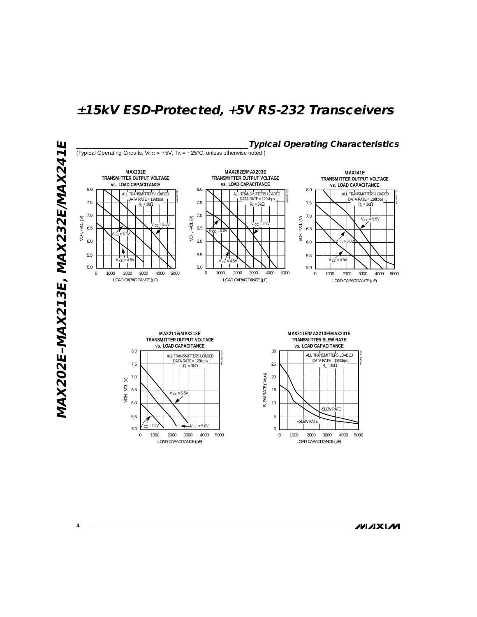

**4 \_\_\_\_\_\_\_\_\_\_\_\_\_\_\_\_\_\_\_\_\_\_\_\_\_\_\_\_\_\_\_\_\_\_\_\_\_\_\_\_\_\_\_\_\_\_\_\_\_\_\_\_\_\_\_\_\_\_\_\_\_\_\_\_\_\_\_\_\_\_\_\_\_\_\_\_\_\_\_\_\_\_\_\_\_\_\_**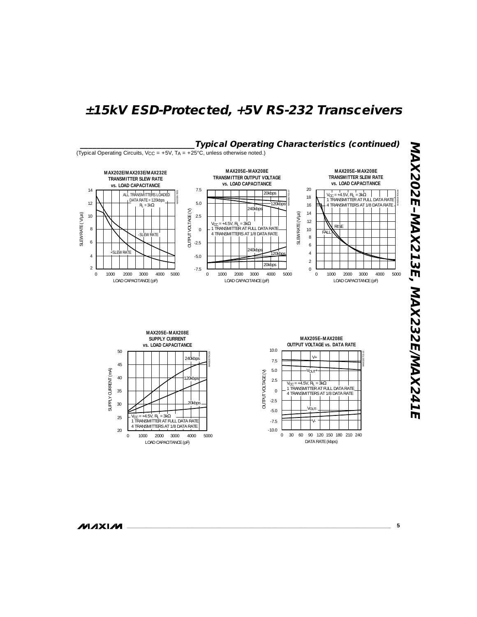

**MAXIM** 

**\_\_\_\_\_\_\_\_\_\_\_\_\_\_\_\_\_\_\_\_\_\_\_\_\_\_\_\_\_\_\_\_\_\_\_\_\_\_\_\_\_\_\_\_\_\_\_\_\_\_\_\_\_\_\_\_\_\_\_\_\_\_\_\_\_\_\_\_\_\_\_\_\_\_\_\_\_\_\_\_\_\_\_\_\_\_\_ 5**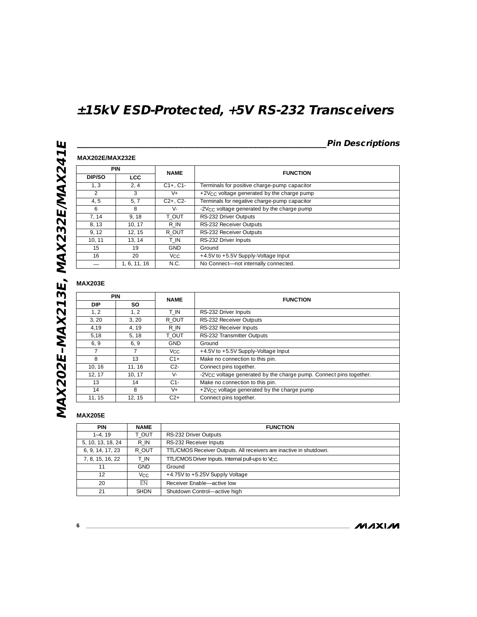### **\_\_\_\_\_\_\_\_\_\_\_\_\_\_\_\_\_\_\_\_\_\_\_\_\_\_\_\_\_\_\_\_\_\_\_\_\_\_\_\_\_\_\_\_\_\_\_\_\_\_\_\_\_\_\_\_\_\_\_\_\_Pin Descriptions**

### **MAX202E/MAX232E**

|               | <b>PIN</b>   |                       | <b>FUNCTION</b>                                        |  |
|---------------|--------------|-----------------------|--------------------------------------------------------|--|
| DIP/SO        | <b>LCC</b>   | <b>NAME</b>           |                                                        |  |
| 1.3           | 2, 4         | $C1+$ , $C1-$         | Terminals for positive charge-pump capacitor           |  |
| $\mathcal{P}$ | 3            | $V +$                 | +2V <sub>CC</sub> voltage generated by the charge pump |  |
| 4, 5          | 5.7          | $C2+. C2-$            | Terminals for negative charge-pump capacitor           |  |
| 6             | 8            | $V -$                 | -2V <sub>CC</sub> voltage generated by the charge pump |  |
| 7, 14         | 9.18         | T OUT                 | RS-232 Driver Outputs                                  |  |
| 8, 13         | 10.17        | R IN                  | RS-232 Receiver Outputs                                |  |
| 9.12          | 12.15        | R OUT                 | RS-232 Receiver Outputs                                |  |
| 10.11         | 13.14        | T IN                  | RS-232 Driver Inputs                                   |  |
| 15            | 19           | <b>GND</b>            | Ground                                                 |  |
| 16            | 20           | <b>V<sub>CC</sub></b> | +4.5V to +5.5V Supply-Voltage Input                    |  |
|               | 1, 6, 11, 16 | N.C.                  | No Connect-not internally connected.                   |  |

### **MAX203E**

|            | <b>PIN</b> |                 | <b>FUNCTION</b>                                                                |
|------------|------------|-----------------|--------------------------------------------------------------------------------|
| <b>DIP</b> | SO.        | <b>NAME</b>     |                                                                                |
| 1.2        | 1.2        | T IN            | RS-232 Driver Inputs                                                           |
| 3, 20      | 3.20       | R OUT           | RS-232 Receiver Outputs                                                        |
| 4.19       | 4.19       | R IN            | RS-232 Receiver Inputs                                                         |
| 5.18       | 5.18       | T OUT           | RS-232 Transmitter Outputs                                                     |
| 6, 9       | 6, 9       | <b>GND</b>      | Ground                                                                         |
|            |            | V <sub>CC</sub> | +4.5V to +5.5V Supply-Voltage Input                                            |
| 8          | 13         | $C1+$           | Make no connection to this pin.                                                |
| 10.16      | 11.16      | $C2-$           | Connect pins together.                                                         |
| 12, 17     | 10, 17     | $V -$           | -2V <sub>CC</sub> voltage generated by the charge pump. Connect pins together. |
| 13         | 14         | $C1-$           | Make no connection to this pin.                                                |
| 14         | 8          | $V_{+}$         | +2V <sub>CC</sub> voltage generated by the charge pump                         |
| 11.15      | 12.15      | C2+             | Connect pins together.                                                         |

### **MAX205E**

| <b>PIN</b>        | <b>NAME</b> | <b>FUNCTION</b>                                                    |
|-------------------|-------------|--------------------------------------------------------------------|
| $1-4.19$          | T OUT       | RS-232 Driver Outputs                                              |
| 5, 10, 13, 18, 24 | R IN        | RS-232 Receiver Inputs                                             |
| 6, 9, 14, 17, 23  | R OUT       | TTL/CMOS Receiver Outputs. All receivers are inactive in shutdown. |
| 7, 8, 15, 16, 22  | T IN        | TTL/CMOS Driver Inputs. Internal pull-ups to Vcc.                  |
| 11                | <b>GND</b>  | Ground                                                             |
| 12                | Vcc.        | $+4.75V$ to $+5.25V$ Supply Voltage                                |
| 20                | FN          | Receiver Enable-active low                                         |
| 21                | <b>SHDN</b> | Shutdown Control-active high                                       |

**6 \_\_\_\_\_\_\_\_\_\_\_\_\_\_\_\_\_\_\_\_\_\_\_\_\_\_\_\_\_\_\_\_\_\_\_\_\_\_\_\_\_\_\_\_\_\_\_\_\_\_\_\_\_\_\_\_\_\_\_\_\_\_\_\_\_\_\_\_\_\_\_\_\_\_\_\_\_\_\_\_\_\_\_\_\_\_\_**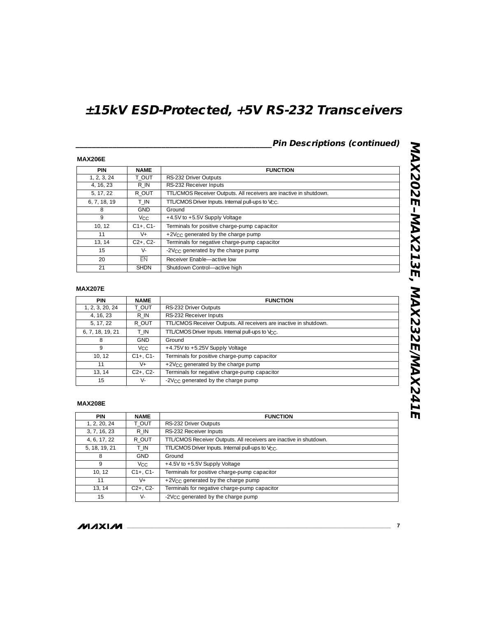**\_\_\_\_\_\_\_\_\_\_\_\_\_\_\_\_\_\_\_\_\_\_\_\_\_\_\_\_\_\_\_\_\_\_\_\_\_\_\_\_\_\_\_\_\_\_\_\_Pin Descriptions (continued)**

#### **MAX206E**

| <b>PIN</b>   | <b>NAME</b>     | <b>FUNCTION</b>                                                    |  |
|--------------|-----------------|--------------------------------------------------------------------|--|
| 1, 2, 3, 24  | T OUT           | RS-232 Driver Outputs                                              |  |
| 4, 16, 23    | R IN            | RS-232 Receiver Inputs                                             |  |
| 5, 17, 22    | R OUT           | TTL/CMOS Receiver Outputs. All receivers are inactive in shutdown. |  |
| 6, 7, 18, 19 | T IN            | TTL/CMOS Driver Inputs. Internal pull-ups to Vcc.                  |  |
| 8            | <b>GND</b>      | Ground                                                             |  |
| 9            | V <sub>CC</sub> | +4.5V to +5.5V Supply Voltage                                      |  |
| 10.12        | $C1+$ , $C1-$   | Terminals for positive charge-pump capacitor                       |  |
| 11           | V+              | +2V <sub>CC</sub> generated by the charge pump                     |  |
| 13, 14       | $C2+$ , $C2-$   | Terminals for negative charge-pump capacitor                       |  |
| 15           | $V -$           | -2V <sub>CC</sub> generated by the charge pump                     |  |
| 20           | $\overline{FN}$ | Receiver Enable-active low                                         |  |
| 21           | <b>SHDN</b>     | Shutdown Control-active high                                       |  |

### **MAX207E**

| <b>PIN</b>       | <b>NAME</b>           | <b>FUNCTION</b>                                                    |  |  |
|------------------|-----------------------|--------------------------------------------------------------------|--|--|
| 1, 2, 3, 20, 24  | T OUT                 | RS-232 Driver Outputs                                              |  |  |
| 4, 16, 23        | R IN                  | RS-232 Receiver Inputs                                             |  |  |
| 5, 17, 22        | R OUT                 | TTL/CMOS Receiver Outputs. All receivers are inactive in shutdown. |  |  |
| 6, 7, 18, 19, 21 | T IN                  | TTL/CMOS Driver Inputs. Internal pull-ups to V <sub>CC</sub> .     |  |  |
| 8                | <b>GND</b>            | Ground                                                             |  |  |
| 9                | <b>V<sub>CC</sub></b> | +4.75V to +5.25V Supply Voltage                                    |  |  |
| 10, 12           | $C1+$ , $C1-$         | Terminals for positive charge-pump capacitor                       |  |  |
| 11               | $V_{+}$               | +2V <sub>CC</sub> generated by the charge pump                     |  |  |
| 13.14            | $C2+$ , $C2-$         | Terminals for negative charge-pump capacitor                       |  |  |
| 15               | V-                    | -2V <sub>CC</sub> generated by the charge pump                     |  |  |

#### **MAX208E**

| <b>PIN</b>    | <b>NAME</b>     | <b>FUNCTION</b>                                                    |
|---------------|-----------------|--------------------------------------------------------------------|
| 1, 2, 20, 24  | T OUT           | RS-232 Driver Outputs                                              |
| 3, 7, 16, 23  | R IN            | RS-232 Receiver Inputs                                             |
| 4, 6, 17, 22  | R OUT           | TTL/CMOS Receiver Outputs. All receivers are inactive in shutdown. |
| 5, 18, 19, 21 | T IN            | TTL/CMOS Driver Inputs. Internal pull-ups to Vcc.                  |
| 8             | <b>GND</b>      | Ground                                                             |
| 9             | V <sub>CC</sub> | +4.5V to +5.5V Supply Voltage                                      |
| 10, 12        | $C1+. C1-$      | Terminals for positive charge-pump capacitor                       |
| 11            | $V_{+}$         | +2V $_{\rm CC}$ generated by the charge pump                       |
| 13, 14        | $C2+$ , $C2-$   | Terminals for negative charge-pump capacitor                       |
| 15            | $V -$           | -2V <sub>CC</sub> generated by the charge pump                     |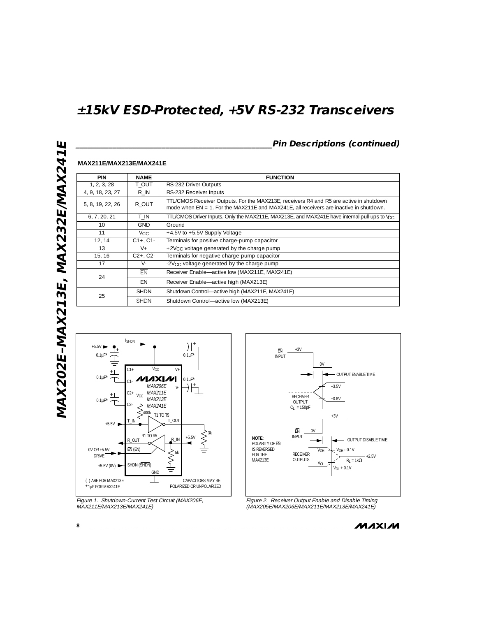### **\_\_\_\_\_\_\_\_\_\_\_\_\_\_\_\_\_\_\_\_\_\_\_\_\_\_\_\_\_\_\_\_\_\_\_\_\_\_\_\_\_\_\_\_\_\_\_\_Pin Descriptions (continued)**

| <b>PIN</b>       | <b>NAME</b>     | <b>FUNCTION</b>                                                                                                                                                                     |  |  |  |
|------------------|-----------------|-------------------------------------------------------------------------------------------------------------------------------------------------------------------------------------|--|--|--|
| 1, 2, 3, 28      | T OUT           | RS-232 Driver Outputs                                                                                                                                                               |  |  |  |
| 4, 9, 18, 23, 27 | R IN            | RS-232 Receiver Inputs                                                                                                                                                              |  |  |  |
| 5, 8, 19, 22, 26 | R OUT           | TTL/CMOS Receiver Outputs. For the MAX213E, receivers R4 and R5 are active in shutdown<br>mode when $EN = 1$ . For the MAX211E and MAX241E, all receivers are inactive in shutdown. |  |  |  |
| 6, 7, 20, 21     | T IN            | TTL/CMOS Driver Inputs. Only the MAX211E, MAX213E, and MAX241E have internal pull-ups to V <sub>CC</sub> .                                                                          |  |  |  |
| 10               | <b>GND</b>      | Ground                                                                                                                                                                              |  |  |  |
| 11               | V <sub>CC</sub> | +4.5V to +5.5V Supply Voltage                                                                                                                                                       |  |  |  |
| 12, 14           | $C1+$ , $C1-$   | Terminals for positive charge-pump capacitor                                                                                                                                        |  |  |  |
| 13               | $V +$           | +2V $_{\rm CC}$ voltage generated by the charge pump                                                                                                                                |  |  |  |
| 15, 16           | $C2+$ , $C2-$   | Terminals for negative charge-pump capacitor                                                                                                                                        |  |  |  |
| 17               | $V -$           | -2V $cc$ voltage generated by the charge pump                                                                                                                                       |  |  |  |
| 24               | $\overline{FN}$ | Receiver Enable-active low (MAX211E, MAX241E)                                                                                                                                       |  |  |  |
|                  | EN              | Receiver Enable-active high (MAX213E)                                                                                                                                               |  |  |  |
| 25               | <b>SHDN</b>     | Shutdown Control-active high (MAX211E, MAX241E)                                                                                                                                     |  |  |  |
|                  | <b>SHDN</b>     | Shutdown Control-active low (MAX213E)                                                                                                                                               |  |  |  |



**MAX211E/MAX213E/MAX241E**



Figure 2. Receiver Output Enable and Disable Timing (MAX205E/MAX206E/MAX211E/MAX213E/MAX241E)

**MAXIM** 

**8 \_\_\_\_\_\_\_\_\_\_\_\_\_\_\_\_\_\_\_\_\_\_\_\_\_\_\_\_\_\_\_\_\_\_\_\_\_\_\_\_\_\_\_\_\_\_\_\_\_\_\_\_\_\_\_\_\_\_\_\_\_\_\_\_\_\_\_\_\_\_\_\_\_\_\_\_\_\_\_\_\_\_\_\_\_\_\_**

Figure 1. Shutdown-Current Test Circuit (MAX206E, MAX211E/MAX213E/MAX241E)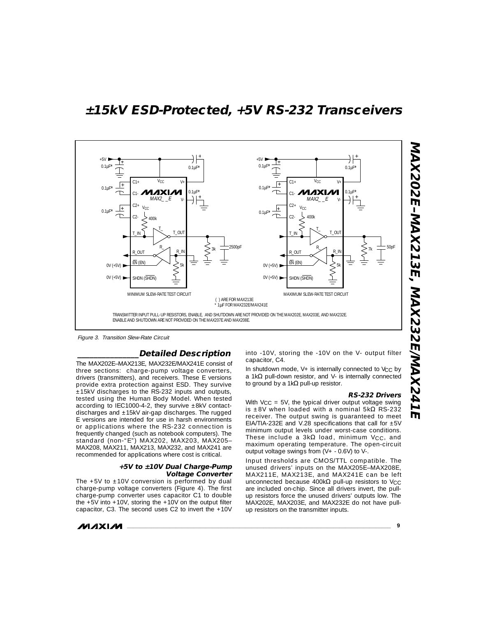

Figure 3. Transition Slew-Rate Circuit

#### **\_\_\_\_\_\_\_\_\_\_\_\_\_\_\_Detailed Description**

The MAX202E–MAX213E, MAX232E/MAX241E consist of three sections: charge-pump voltage converters, drivers (transmitters), and receivers. These E versions provide extra protection against ESD. They survive ±15kV discharges to the RS-232 inputs and outputs, tested using the Human Body Model. When tested according to IEC1000-4-2, they survive  $\pm$ 8kV contactdischarges and ±15kV air-gap discharges. The rugged E versions are intended for use in harsh environments or applications where the RS-232 connection is frequently changed (such as notebook computers). The standard (non-"E") MAX202, MAX203, MAX205– MAX208, MAX211, MAX213, MAX232, and MAX241 are recommended for applications where cost is critical.

#### **+5V to ±10V Dual Charge-Pump Voltage Converter**

The  $+5V$  to  $\pm 10V$  conversion is performed by dual charge-pump voltage converters (Figure 4). The first charge-pump converter uses capacitor C1 to double the  $+5V$  into  $+10V$ , storing the  $+10V$  on the output filter capacitor, C3. The second uses C2 to invert the +10V

$$
\boldsymbol{\mathcal{M}}\boldsymbol{\mathcal{A}}\boldsymbol{\mathsf{X}}\boldsymbol{\mathsf{I}}\boldsymbol{\mathcal{M}}
$$

into -10V, storing the -10V on the V- output filter capacitor, C4.

In shutdown mode,  $V+$  is internally connected to  $V<sub>CC</sub>$  by a 1kΩ pull-down resistor, and V- is internally connected to ground by a 1kΩ pull-up resistor.

#### **RS-232 Drivers**

With  $V_{CC}$  = 5V, the typical driver output voltage swing is  $±8V$  when loaded with a nominal 5k $\Omega$  RS-232 receiver. The output swing is guaranteed to meet EIA/TIA-232E and V.28 specifications that call for  $\pm 5V$ minimum output levels under worst-case conditions. These include a  $3k\Omega$  load, minimum V<sub>CC</sub>, and maximum operating temperature. The open-circuit output voltage swings from (V+ - 0.6V) to V-.

Input thresholds are CMOS/TTL compatible. The unused drivers' inputs on the MAX205E–MAX208E, MAX211E, MAX213E, and MAX241E can be left unconnected because 400kΩ pull-up resistors to Vcc are included on-chip. Since all drivers invert, the pullup resistors force the unused drivers' outputs low. The MAX202E, MAX203E, and MAX232E do not have pullup resistors on the transmitter inputs.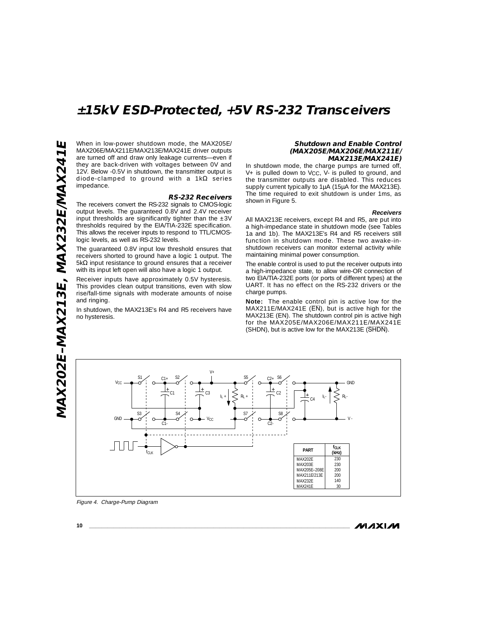ш **MAX202E–MAX213E, MAX232E/MAX241E** MAX202E-MAX213E, MAX232E/MAX241 When in low-power shutdown mode, the MAX205E/ MAX206E/MAX211E/MAX213E/MAX241E driver outputs are turned off and draw only leakage currents—even if they are back-driven with voltages between 0V and 12V. Below -0.5V in shutdown, the transmitter output is diode-clamped to ground with a  $1k\Omega$  series impedance.

#### **RS-232 Receivers**

The receivers convert the RS-232 signals to CMOS-logic output levels. The guaranteed 0.8V and 2.4V receiver input thresholds are significantly tighter than the  $\pm 3V$ thresholds required by the EIA/TIA-232E specification. This allows the receiver inputs to respond to TTL/CMOSlogic levels, as well as RS-232 levels.

The guaranteed 0.8V input low threshold ensures that receivers shorted to ground have a logic 1 output. The 5kΩ input resistance to ground ensures that a receiver with its input left open will also have a logic 1 output.

Receiver inputs have approximately 0.5V hysteresis. This provides clean output transitions, even with slow rise/fall-time signals with moderate amounts of noise and ringing.

In shutdown, the MAX213E's R4 and R5 receivers have no hysteresis.

#### **Shutdown and Enable Control (MAX205E/MAX206E/MAX211E/ MAX213E/MAX241E)**

In shutdown mode, the charge pumps are turned off,  $V_{+}$  is pulled down to  $V_{CC}$ ,  $V_{-}$  is pulled to ground, and the transmitter outputs are disabled. This reduces supply current typically to 1µA (15µA for the MAX213E). The time required to exit shutdown is under 1ms, as shown in Figure 5.

#### **Receivers**

All MAX213E receivers, except R4 and R5, are put into a high-impedance state in shutdown mode (see Tables 1a and 1b). The MAX213E's R4 and R5 receivers still function in shutdown mode. These two awake-inshutdown receivers can monitor external activity while maintaining minimal power consumption.

The enable control is used to put the receiver outputs into a high-impedance state, to allow wire-OR connection of two EIA/TIA-232E ports (or ports of different types) at the UART. It has no effect on the RS-232 drivers or the charge pumps.

**Note:** The enable control pin is active low for the  $MAX211E/MAX241E$  ( $\overline{EN}$ ), but is active high for the MAX213E (EN). The shutdown control pin is active high for the MAX205E/MAX206E/MAX211E/MAX241E (SHDN), but is active low for the MAX213E (SHDN).



Figure 4. Charge-Pump Diagram

**MAXIM** 

**10 \_\_\_\_\_\_\_\_\_\_\_\_\_\_\_\_\_\_\_\_\_\_\_\_\_\_\_\_\_\_\_\_\_\_\_\_\_\_\_\_\_\_\_\_\_\_\_\_\_\_\_\_\_\_\_\_\_\_\_\_\_\_\_\_\_\_\_\_\_\_\_\_\_\_\_\_\_\_\_\_\_\_\_\_\_\_**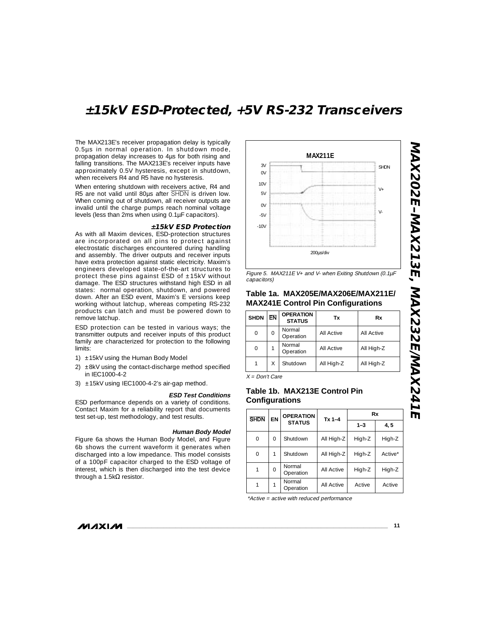The MAX213E's receiver propagation delay is typically 0.5µs in normal operation. In shutdown mode, propagation delay increases to 4µs for both rising and falling transitions. The MAX213E's receiver inputs have approximately 0.5V hysteresis, except in shutdown, when receivers R4 and R5 have no hysteresis.

When entering shutdown with receivers active, R4 and R5 are not valid until 80µs after SHDN is driven low. When coming out of shutdown, all receiver outputs are invalid until the charge pumps reach nominal voltage levels (less than 2ms when using 0.1µF capacitors).

#### **±15kV ESD Protection**

As with all Maxim devices, ESD-protection structures are incorporated on all pins to protect against electrostatic discharges encountered during handling and assembly. The driver outputs and receiver inputs have extra protection against static electricity. Maxim's engineers developed state-of-the-art structures to protect these pins against ESD of  $±15kV$  without damage. The ESD structures withstand high ESD in all states: normal operation, shutdown, and powered down. After an ESD event, Maxim's E versions keep working without latchup, whereas competing RS-232 products can latch and must be powered down to remove latchup.

ESD protection can be tested in various ways; the transmitter outputs and receiver inputs of this product family are characterized for protection to the following limits:

- 1)  $\pm$ 15kV using the Human Body Model
- 2) ±8kV using the contact-discharge method specified in IEC1000-4-2
- 3) ±15kV using IEC1000-4-2's air-gap method.

#### **ESD Test Conditions**

ESD performance depends on a variety of conditions. Contact Maxim for a reliability report that documents test set-up, test methodology, and test results.

#### **Human Body Model**

Figure 6a shows the Human Body Model, and Figure 6b shows the current waveform it generates when discharged into a low impedance. This model consists of a 100pF capacitor charged to the ESD voltage of interest, which is then discharged into the test device through a 1.5kΩ resistor.



Figure 5. MAX211E V+ and V- when Exiting Shutdown (0.1µF capacitors)

#### **Table 1a. MAX205E/MAX206E/MAX211E/ MAX241E Control Pin Configurations**

| <b>SHDN</b> | <b>EN</b> | <b>OPERATION</b><br><b>STATUS</b> | Tx         | Rx         |
|-------------|-----------|-----------------------------------|------------|------------|
| 0           | 0         | Normal<br>Operation               | All Active | All Active |
| 0           |           | Normal<br>Operation               | All Active | All High-Z |
|             | Χ         | Shutdown                          | All High-Z | All High-Z |
|             |           |                                   |            |            |

 $X = Don't Care$ 

### **Table 1b. MAX213E Control Pin Configurations**

| <b>SHDN</b> | EN       | <b>OPERATION</b><br><b>STATUS</b> | $Tx 1 - 4$        | Rx      |         |
|-------------|----------|-----------------------------------|-------------------|---------|---------|
|             |          |                                   |                   | $1 - 3$ | 4,5     |
| $\Omega$    | 0        | Shutdown                          | All High-Z        | High-Z  | High-Z  |
| $\Omega$    |          | Shutdown                          | All High-Z        | High-Z  | Active* |
|             | $\Omega$ | Normal<br>Operation               | All Active        | High-Z  | High-Z  |
|             |          | Normal<br>Operation               | <b>All Active</b> | Active  | Active  |

\*Active = active with reduced performance

#### **MAXIM**

**MAX202E–MAX213E, MAX232E/MAX241E**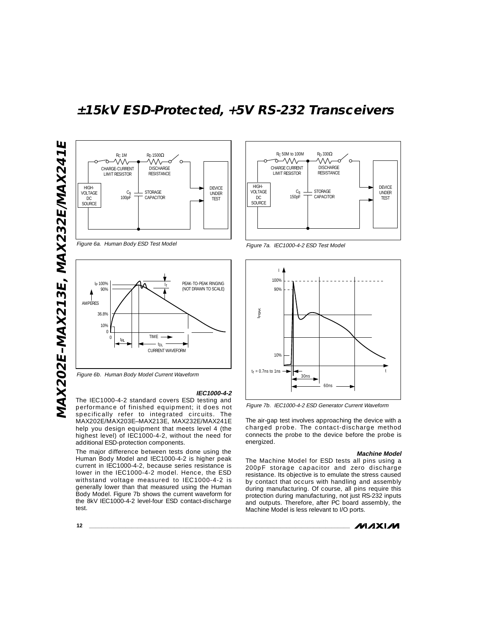

Figure 6a. Human Body ESD Test Model



Figure 6b. Human Body Model Current Waveform

#### **IEC1000-4-2**

The IEC1000-4-2 standard covers ESD testing and performance of finished equipment; it does not specifically refer to integrated circuits. The MAX202E/MAX203E–MAX213E, MAX232E/MAX241E help you design equipment that meets level 4 (the highest level) of IEC1000-4-2, without the need for additional ESD-protection components.

The major difference between tests done using the Human Body Model and IEC1000-4-2 is higher peak current in IEC1000-4-2, because series resistance is lower in the IEC1000-4-2 model. Hence, the ESD withstand voltage measured to IEC1000-4-2 is generally lower than that measured using the Human Body Model. Figure 7b shows the current waveform for the 8kV IEC1000-4-2 level-four ESD contact-discharge test.



Figure 7a. IEC1000-4-2 ESD Test Model



Figure 7b. IEC1000-4-2 ESD Generator Current Waveform

The air-gap test involves approaching the device with a charged probe. The contact-discharge method connects the probe to the device before the probe is energized.

#### **Machine Model**

The Machine Model for ESD tests all pins using a 200pF storage capacitor and zero discharge resistance. Its objective is to emulate the stress caused by contact that occurs with handling and assembly during manufacturing. Of course, all pins require this protection during manufacturing, not just RS-232 inputs and outputs. Therefore, after PC board assembly, the Machine Model is less relevant to I/O ports.

**MAXIM** 

**12 \_\_\_\_\_\_\_\_\_\_\_\_\_\_\_\_\_\_\_\_\_\_\_\_\_\_\_\_\_\_\_\_\_\_\_\_\_\_\_\_\_\_\_\_\_\_\_\_\_\_\_\_\_\_\_\_\_\_\_\_\_\_\_\_\_\_\_\_\_\_\_\_\_\_\_\_\_\_\_\_\_\_\_\_\_\_**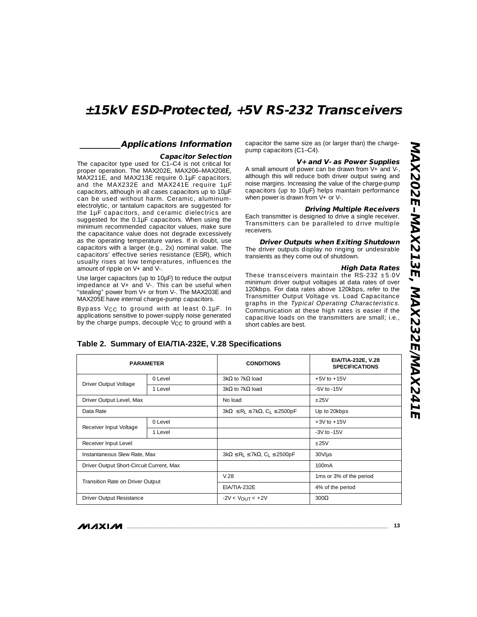#### **\_\_\_\_\_\_\_\_\_\_Applications Information**

#### **Capacitor Selection**

The capacitor type used for C1–C4 is not critical for proper operation. The MAX202E, MAX206–MAX208E, MAX211E, and MAX213E require 0.1µF capacitors, and the MAX232E and MAX241E require 1µF capacitors, although in all cases capacitors up to 10µF can be used without harm. Ceramic, aluminumelectrolytic, or tantalum capacitors are suggested for the 1µF capacitors, and ceramic dielectrics are suggested for the 0.1µF capacitors. When using the minimum recommended capacitor values, make sure the capacitance value does not degrade excessively as the operating temperature varies. If in doubt, use capacitors with a larger (e.g., 2x) nominal value. The capacitors' effective series resistance (ESR), which usually rises at low temperatures, influences the amount of ripple on V+ and V-.

Use larger capacitors (up to 10µF) to reduce the output impedance at V+ and V-. This can be useful when "stealing" power from V+ or from V-. The MAX203E and MAX205E have internal charge-pump capacitors.

Bypass VCC to ground with at least 0.1µF. In applications sensitive to power-supply noise generated by the charge pumps, decouple V<sub>CC</sub> to ground with a capacitor the same size as (or larger than) the chargepump capacitors (C1–C4).

#### **V+ and V- as Power Supplies**

A small amount of power can be drawn from V+ and V-, although this will reduce both driver output swing and noise margins. Increasing the value of the charge-pump capacitors (up to 10µF) helps maintain performance when power is drawn from V+ or V-.

#### **Driving Multiple Receivers**

Each transmitter is designed to drive a single receiver. Transmitters can be paralleled to drive multiple receivers.

**Driver Outputs when Exiting Shutdown**

The driver outputs display no ringing or undesirable transients as they come out of shutdown.

#### **High Data Rates**

These transceivers maintain the RS-232  $\pm$ 5.0V minimum driver output voltages at data rates of over 120kbps. For data rates above 120kbps, refer to the Transmitter Output Voltage vs. Load Capacitance graphs in the Typical Operating Characteristics. Communication at these high rates is easier if the capacitive loads on the transmitters are small; i.e., short cables are best.

| <b>PARAMETER</b>                         |            | <b>CONDITIONS</b>                                                | EIA/TIA-232E, V.28<br><b>SPECIFICATIONS</b> |  |
|------------------------------------------|------------|------------------------------------------------------------------|---------------------------------------------|--|
| Driver Output Voltage                    | $0$ I evel | $3k\Omega$ to 7k $\Omega$ load                                   | $+5V$ to $+15V$                             |  |
|                                          | 1 Level    | $3k\Omega$ to 7k $\Omega$ load                                   | $-5V$ to $-15V$                             |  |
| Driver Output Level, Max                 |            | No load                                                          | ±25V                                        |  |
| Data Rate                                |            | $3k\Omega \le R_1 \le 7k\Omega$ , C <sub>1</sub> $\le 2500pF$    | Up to 20kbps                                |  |
| Receiver Input Voltage                   | 0 Level    |                                                                  | $+3V$ to $+15V$                             |  |
|                                          | 1 Level    |                                                                  | $-3V$ to $-15V$                             |  |
| Receiver Input Level                     |            |                                                                  | ±25V                                        |  |
| Instantaneous Slew Rate, Max             |            | $3k\Omega \leq R_1 \leq 7k\Omega$ , C <sub>1</sub> $\leq$ 2500pF | $30V/\mu s$                                 |  |
| Driver Output Short-Circuit Current, Max |            |                                                                  | 100 <sub>m</sub> A                          |  |
| Transition Rate on Driver Output         |            | V.28                                                             | 1ms or 3% of the period                     |  |
|                                          |            | EIA/TIA-232E                                                     | 4% of the period                            |  |
| Driver Output Resistance                 |            | $-2V < V_{\text{OUT}} < +2V$                                     | $300\Omega$                                 |  |

#### **Table 2. Summary of EIA/TIA-232E, V.28 Specifications**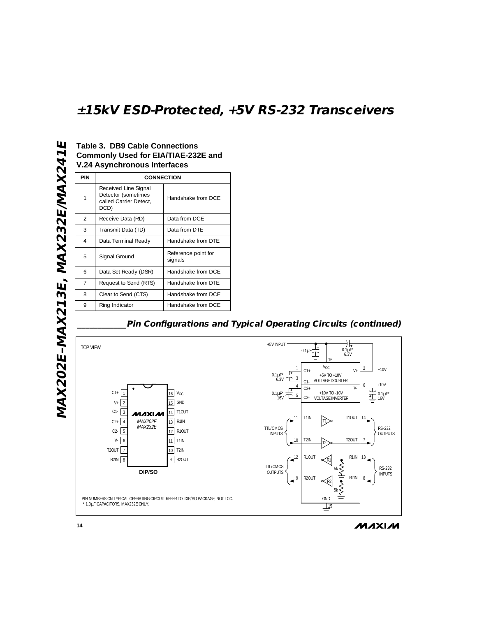### **Table 3. DB9 Cable Connections Commonly Used for EIA/TIAE-232E and V.24 Asynchronous Interfaces**

| <b>PIN</b>    | <b>CONNECTION</b>                                                             |                                |  |  |
|---------------|-------------------------------------------------------------------------------|--------------------------------|--|--|
| 1             | Received Line Signal<br>Detector (sometimes<br>called Carrier Detect.<br>DCD) | Handshake from DCF             |  |  |
| $\mathcal{P}$ | Receive Data (RD)                                                             | Data from DCF                  |  |  |
| 3             | Transmit Data (TD)                                                            | Data from DTF                  |  |  |
| 4             | Data Terminal Ready                                                           | Handshake from DTF             |  |  |
| 5             | Signal Ground                                                                 | Reference point for<br>signals |  |  |
| 6             | Data Set Ready (DSR)                                                          | Handshake from DCF             |  |  |
| 7             | Request to Send (RTS)                                                         | Handshake from DTF             |  |  |
| 8             | Clear to Send (CTS)                                                           | Handshake from DCF             |  |  |
| 9             | Ring Indicator                                                                | Handshake from DCE             |  |  |

### **\_\_\_\_\_\_\_\_\_\_\_\_Pin Configurations and Typical Operating Circuits (continued)**

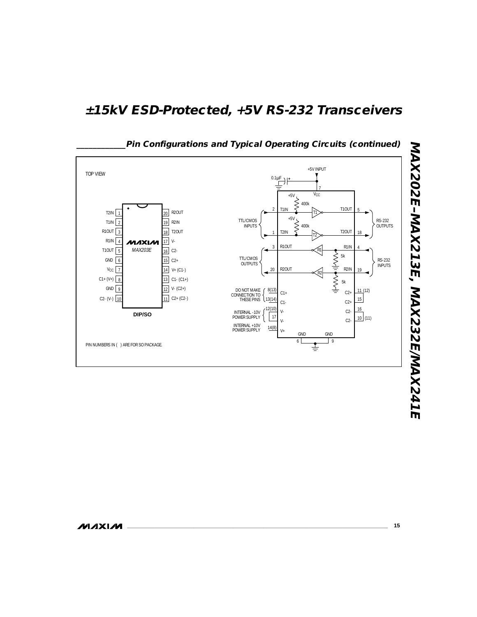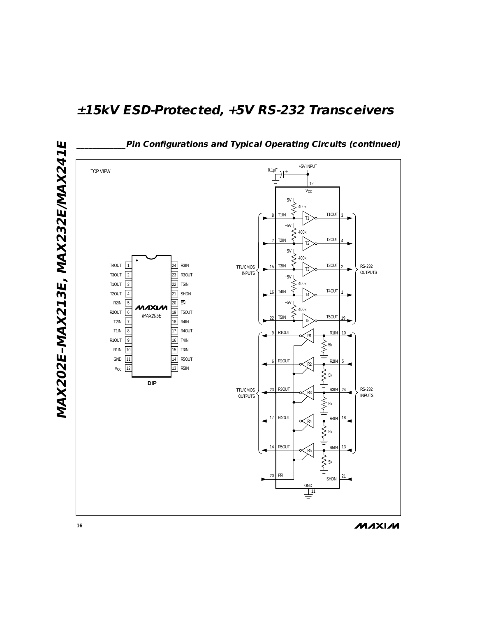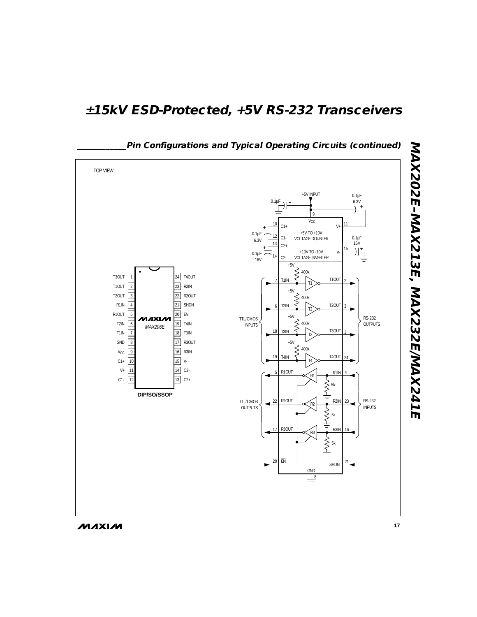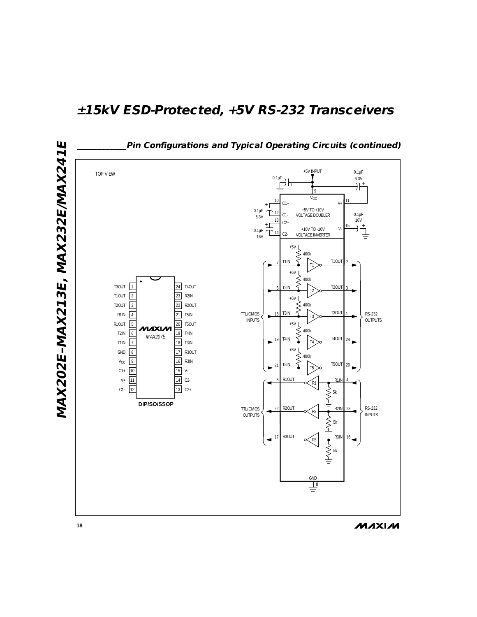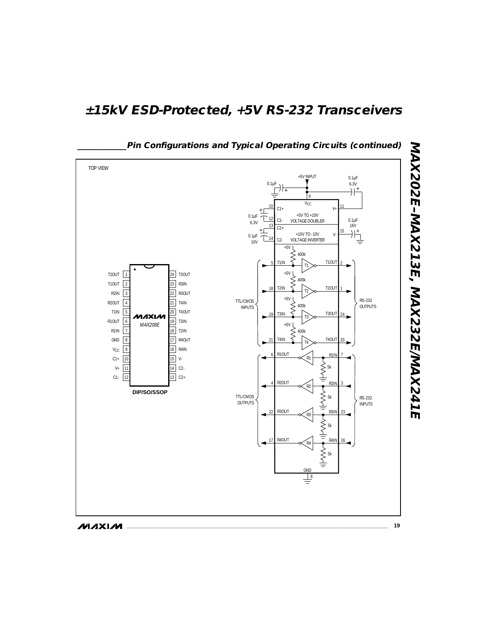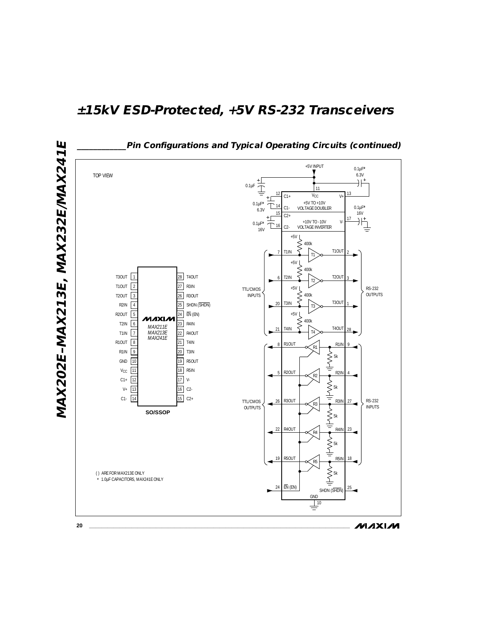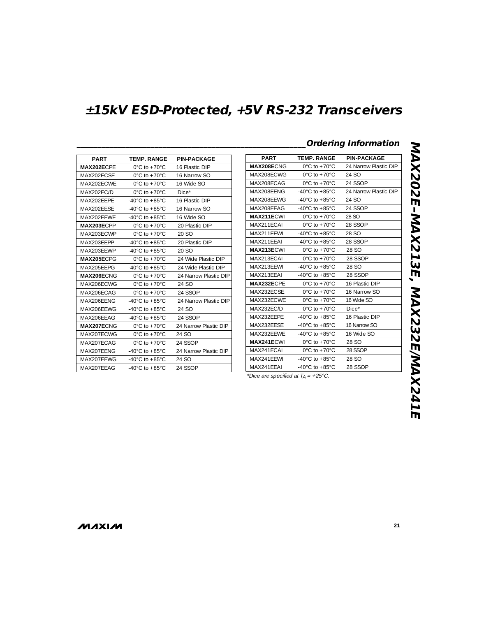| <b>PART</b> | <b>TEMP, RANGE</b>                   | <b>PIN-PACKAGE</b>    |
|-------------|--------------------------------------|-----------------------|
| MAX202ECPF  | $0^{\circ}$ C to $+70^{\circ}$ C     | 16 Plastic DIP        |
| MAX202FCSF  | $0^{\circ}$ C to $+70^{\circ}$ C     | 16 Narrow SO          |
| MAX202FCWF  | $0^{\circ}$ C to $+70^{\circ}$ C     | 16 Wide SO            |
| MAX202FC/D  | $0^{\circ}$ C to $+70^{\circ}$ C     | Dice*                 |
| MAX202FFPF  | $-40^{\circ}$ C to $+85^{\circ}$ C   | 16 Plastic DIP        |
| MAX202FFSF  | $-40^{\circ}$ C to $+85^{\circ}$ C   | 16 Narrow SO          |
| MAX202FFWF  | $-40^{\circ}$ C to $+85^{\circ}$ C   | 16 Wide SO            |
| MAX203ECPP  | $0^{\circ}$ C to +70 $^{\circ}$ C    | 20 Plastic DIP        |
| MAX203FCWP  | $0^{\circ}$ C to $+70^{\circ}$ C     | 20 SO                 |
| MAX203FFPP  | $-40^{\circ}$ C to $+85^{\circ}$ C   | 20 Plastic DIP        |
| MAX203FFWP  | $-40^{\circ}$ C to $+85^{\circ}$ C   | 20 SO                 |
| MAX205ECPG  | $0^{\circ}$ C to $+70^{\circ}$ C     | 24 Wide Plastic DIP   |
| MAX205FFPG  | $-40^{\circ}$ C to $+85^{\circ}$ C   | 24 Wide Plastic DIP   |
| MAX206ECNG  | $0^{\circ}$ C to $+70^{\circ}$ C     | 24 Narrow Plastic DIP |
| MAX206FCWG  | $0^{\circ}$ C to $+70^{\circ}$ C     | 24 SO                 |
| MAX206FCAG  | $0^{\circ}$ C to $+70^{\circ}$ C     | 24 SSOP               |
| MAX206FFNG  | $-40^{\circ}$ C to $+85^{\circ}$ C   | 24 Narrow Plastic DIP |
| MAX206FFWG  | $-40^{\circ}$ C to $+85^{\circ}$ C   | 24 SO                 |
| MAX206FFAG  | -40 $^{\circ}$ C to +85 $^{\circ}$ C | 24 SSOP               |
| MAX207ECNG  | $0^{\circ}$ C to $+70^{\circ}$ C     | 24 Narrow Plastic DIP |
| MAX207FCWG  | $0^{\circ}$ C to $+70^{\circ}$ C     | 24 SO                 |
| MAX207FCAG  | $0^{\circ}$ C to +70 $^{\circ}$ C    | 24 SSOP               |
| MAX207FFNG  | $-40^{\circ}$ C to $+85^{\circ}$ C   | 24 Narrow Plastic DIP |
| MAX207FFWG  | $-40^{\circ}$ C to $+85^{\circ}$ C   | 24 SO                 |
| MAX207FFAG  | $-40^{\circ}$ C to $+85^{\circ}$ C   | 24 SSOP               |

|                   |                                      |                       |                   | <b>Ordering Information</b>          |                       |  |
|-------------------|--------------------------------------|-----------------------|-------------------|--------------------------------------|-----------------------|--|
| <b>PART</b>       | <b>TEMP. RANGE</b>                   | <b>PIN-PACKAGE</b>    | <b>PART</b>       | <b>TEMP, RANGE</b>                   | <b>PIN-PACKAGE</b>    |  |
| MAX202ECPE        | $0^{\circ}$ C to +70 $^{\circ}$ C    | 16 Plastic DIP        | MAX208ECNG        | $0^{\circ}$ C to $+70^{\circ}$ C     | 24 Narrow Plastic DIP |  |
| MAX202ECSE        | $0^{\circ}$ C to +70 $^{\circ}$ C    | 16 Narrow SO          | MAX208ECWG        | $0^{\circ}$ C to +70 $^{\circ}$ C    | 24 SO                 |  |
| MAX202ECWE        | $0^{\circ}$ C to +70 $^{\circ}$ C    | 16 Wide SO            | MAX208ECAG        | $0^{\circ}$ C to +70 $^{\circ}$ C    | 24 SSOP               |  |
| MAX202EC/D        | $0^{\circ}$ C to +70 $^{\circ}$ C    | $Dice*$               | MAX208EENG        | -40 $^{\circ}$ C to +85 $^{\circ}$ C | 24 Narrow Plastic DIP |  |
| MAX202EEPE        | -40 $^{\circ}$ C to +85 $^{\circ}$ C | 16 Plastic DIP        | MAX208EEWG        | -40 $^{\circ}$ C to +85 $^{\circ}$ C | 24 SO                 |  |
| MAX202EESE        | -40 $^{\circ}$ C to +85 $^{\circ}$ C | 16 Narrow SO          | MAX208EEAG        | -40 $^{\circ}$ C to +85 $^{\circ}$ C | 24 SSOP               |  |
| MAX202EEWE        | -40 $^{\circ}$ C to +85 $^{\circ}$ C | 16 Wide SO            | MAX211ECWI        | $0^{\circ}$ C to +70 $^{\circ}$ C    | 28 SO                 |  |
| MAX203ECPP        | $0^{\circ}$ C to +70 $^{\circ}$ C    | 20 Plastic DIP        | MAX211ECAI        | $0^{\circ}$ C to +70 $^{\circ}$ C    | 28 SSOP               |  |
| MAX203ECWP        | $0^{\circ}$ C to +70 $^{\circ}$ C    | 20 SO                 | MAX211EEWI        | $-40^{\circ}$ C to $+85^{\circ}$ C   | 28.SO                 |  |
| MAX203EEPP        | -40 $^{\circ}$ C to +85 $^{\circ}$ C | 20 Plastic DIP        | MAX211EEAI        | -40 $^{\circ}$ C to +85 $^{\circ}$ C | 28 SSOP               |  |
| MAX203EEWP        | -40 $^{\circ}$ C to +85 $^{\circ}$ C | 20 SO                 | MAX213ECWI        | $0^{\circ}$ C to +70 $^{\circ}$ C    | 28 SO                 |  |
| MAX205ECPG        | $0^{\circ}$ C to +70 $^{\circ}$ C    | 24 Wide Plastic DIP   | MAX213ECAI        | $0^{\circ}$ C to +70 $^{\circ}$ C    | 28 SSOP               |  |
| MAX205EEPG        | -40 $^{\circ}$ C to +85 $^{\circ}$ C | 24 Wide Plastic DIP   | MAX213EEWI        | -40 $^{\circ}$ C to +85 $^{\circ}$ C | 28 SO                 |  |
| MAX206ECNG        | $0^{\circ}$ C to +70 $^{\circ}$ C    | 24 Narrow Plastic DIP | MAX213EEAI        | -40 $^{\circ}$ C to +85 $^{\circ}$ C | 28 SSOP               |  |
| MAX206ECWG        | $0^{\circ}$ C to +70 $^{\circ}$ C    | 24 SO                 | MAX232ECPE        | $0^{\circ}$ C to +70 $^{\circ}$ C    | 16 Plastic DIP        |  |
| MAX206ECAG        | $0^{\circ}$ C to +70 $^{\circ}$ C    | 24 SSOP               | MAX232ECSE        | $0^{\circ}$ C to +70 $^{\circ}$ C    | 16 Narrow SO          |  |
| MAX206EENG        | -40 $^{\circ}$ C to +85 $^{\circ}$ C | 24 Narrow Plastic DIP | MAX232ECWE        | $0^{\circ}$ C to +70 $^{\circ}$ C    | 16 Wide SO            |  |
| MAX206FFWG        | -40 $^{\circ}$ C to +85 $^{\circ}$ C | 24 SO                 | MAX232EC/D        | $0^{\circ}$ C to +70 $^{\circ}$ C    | Dice*                 |  |
| MAX206EEAG        | -40 $^{\circ}$ C to +85 $^{\circ}$ C | 24 SSOP               | MAX232EEPE        | -40 $^{\circ}$ C to +85 $^{\circ}$ C | 16 Plastic DIP        |  |
| <b>MAX207ECNG</b> | $0^{\circ}$ C to +70 $^{\circ}$ C    | 24 Narrow Plastic DIP | MAX232EESE        | -40 $^{\circ}$ C to +85 $^{\circ}$ C | 16 Narrow SO          |  |
| MAX207ECWG        | $0^{\circ}$ C to +70 $^{\circ}$ C    | 24 SO                 | MAX232EEWE        | -40 $^{\circ}$ C to +85 $^{\circ}$ C | 16 Wide SO            |  |
| MAX207ECAG        | $0^{\circ}$ C to +70 $^{\circ}$ C    | 24 SSOP               | <b>MAX241ECWI</b> | $0^{\circ}$ C to +70 $^{\circ}$ C    | 28 SO                 |  |
| MAX207EENG        | -40 $^{\circ}$ C to +85 $^{\circ}$ C | 24 Narrow Plastic DIP | MAX241ECAI        | $0^{\circ}$ C to +70 $^{\circ}$ C    | 28 SSOP               |  |
| MAX207EEWG        | -40 $^{\circ}$ C to +85 $^{\circ}$ C | 24 SO                 | MAX241EEWI        | -40 $^{\circ}$ C to +85 $^{\circ}$ C | 28 SO                 |  |
| MAX207EEAG        | -40 $^{\circ}$ C to +85 $^{\circ}$ C | 24 SSOP               | MAX241EEAI        | -40 $^{\circ}$ C to +85 $^{\circ}$ C | 28 SSOP               |  |

\*Dice are specified at  $T_A = +25^{\circ}$ C.

**MAXIM** 

**\_\_\_\_\_\_\_\_\_\_\_\_\_\_\_\_\_\_\_\_\_\_\_\_\_\_\_\_\_\_\_\_\_\_\_\_\_\_\_\_\_\_\_\_\_\_\_\_\_\_\_\_\_\_\_\_\_\_\_\_\_\_\_\_\_\_\_\_\_\_\_\_\_\_\_\_\_\_\_\_\_\_\_\_\_\_ 21**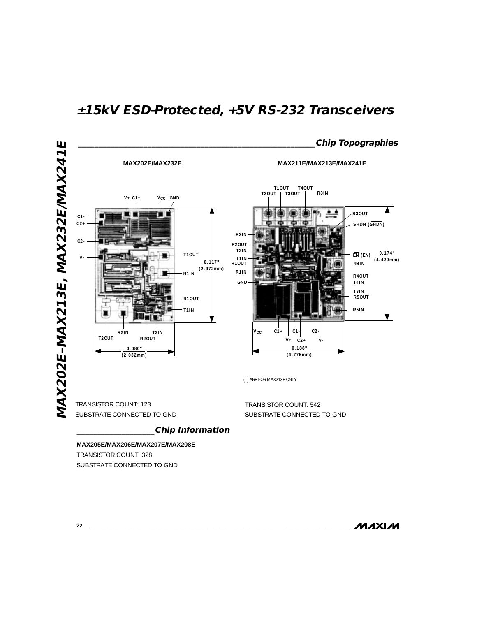

**22 \_\_\_\_\_\_\_\_\_\_\_\_\_\_\_\_\_\_\_\_\_\_\_\_\_\_\_\_\_\_\_\_\_\_\_\_\_\_\_\_\_\_\_\_\_\_\_\_\_\_\_\_\_\_\_\_\_\_\_\_\_\_\_\_\_\_\_\_\_\_\_\_\_\_\_\_\_\_\_\_\_\_\_\_\_\_**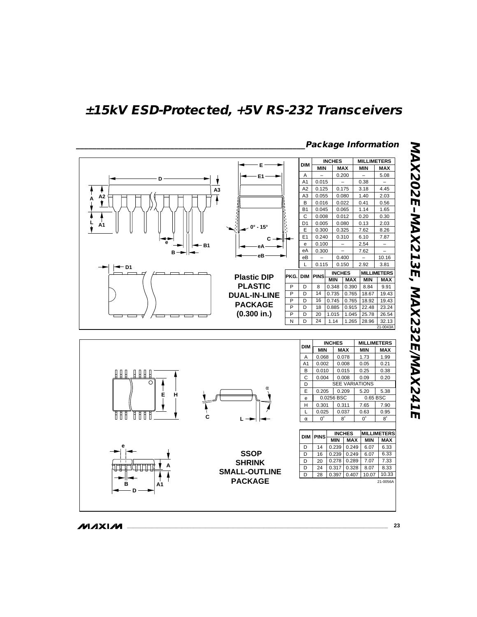

**MAXIM** 

MAX202E-MAX213E, MAX232E/MAX241E **MAX202E–MAX213E, MAX232E/MAX241E**

**\_\_\_\_\_\_\_\_\_\_\_\_\_\_\_\_\_\_\_\_\_\_\_\_\_\_\_\_\_\_\_\_\_\_\_\_\_\_\_\_\_\_\_\_\_\_\_\_\_\_\_\_\_\_\_\_\_\_\_\_\_\_\_\_\_\_\_\_\_\_\_\_\_\_\_\_\_\_\_\_\_\_\_\_\_\_ 23**